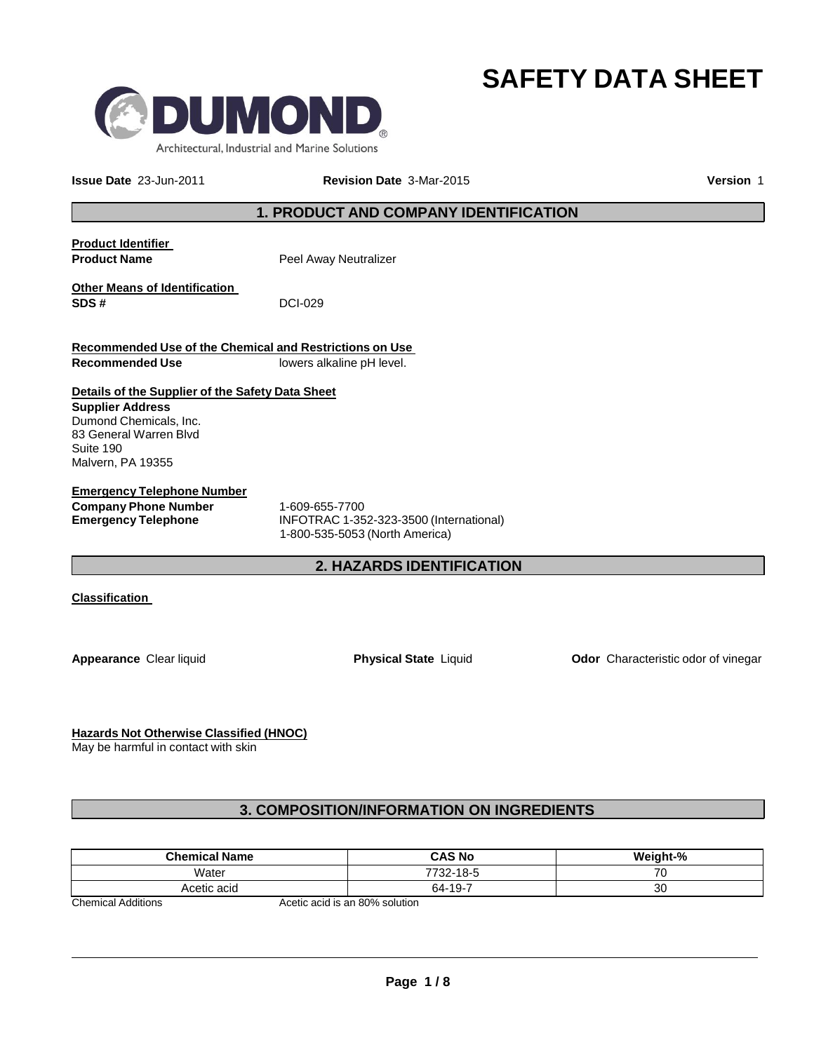



**Issue Date** 23-Jun-2011 **Revision Date** 3-Mar-2015 **Version** 1

### **1. PRODUCT AND COMPANY IDENTIFICATION**

**Product Identifier Product Name** Peel Away Neutralizer **Other Means of Identification SDS #** DCI-029

**Recommended Use of the Chemical and Restrictions on Use Recommended Use** lowers alkaline pH level.

### **Details of the Supplier of the Safety Data Sheet**

**Supplier Address** Dumond Chemicals, Inc. 83 General Warren Blvd Suite 190 Malvern, PA 19355

**Emergency Telephone Number Company Phone Number** 1-609-655-7700

**Emergency Telephone** INFOTRAC 1-352-323-3500 (International) 1-800-535-5053 (North America)

### **2. HAZARDS IDENTIFICATION**

**Classification** 

**Appearance** Clear liquid **Physical State** Liquid **Odor** Characteristic odor of vinegar

**Hazards Not Otherwise Classified (HNOC)**

May be harmful in contact with skin

### **3. COMPOSITION/INFORMATION ON INGREDIENTS**

| <b>Chemical Name</b>     | <b>CAS No</b>                                           | <b>Weight-%</b> |
|--------------------------|---------------------------------------------------------|-----------------|
| Water                    | 7732-18-5                                               | 70              |
| Acetic acid              | 64-19-7                                                 | 30              |
| Alexandroid Andrifts and | $A = \{1, 2, \ldots, n\}$ and $A = \{1, 2, \ldots, n\}$ |                 |

Chemical Additions The Chemical Additions and Acetic acid is an 80% solution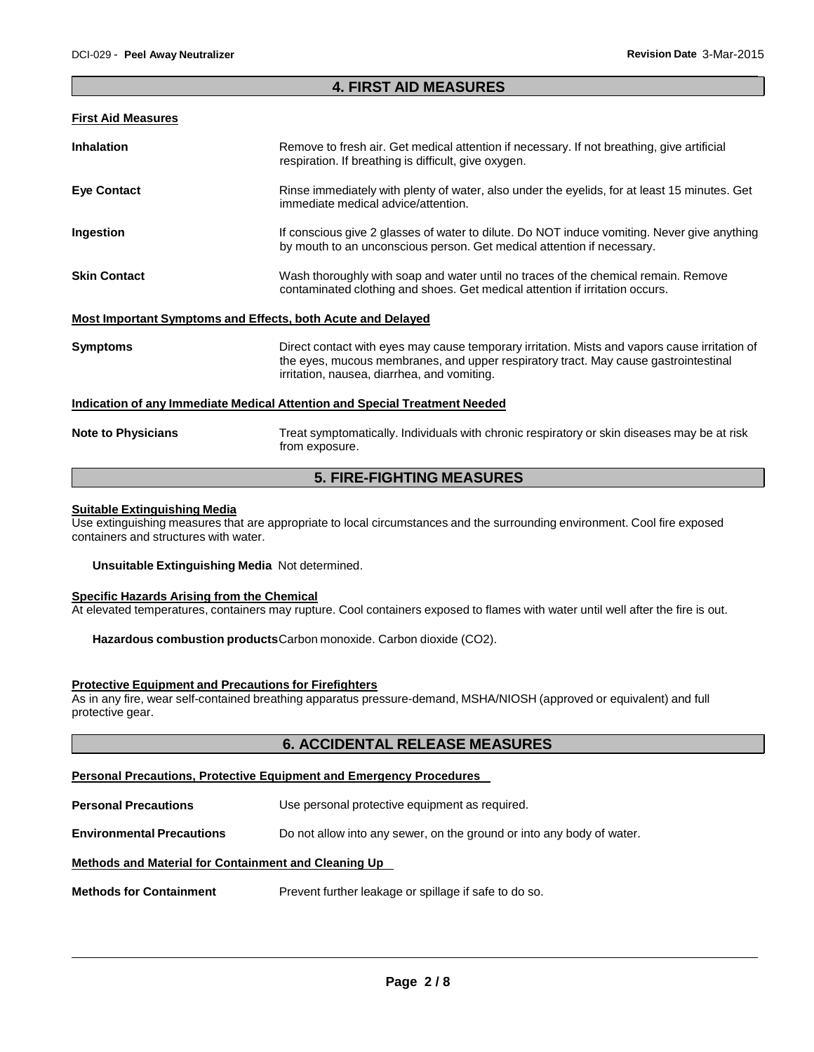### **4. FIRST AID MEASURES**

#### **First Aid Measures**

| <b>Inhalation</b>                                           | Remove to fresh air. Get medical attention if necessary. If not breathing, give artificial<br>respiration. If breathing is difficult, give oxygen.                                                                                  |
|-------------------------------------------------------------|-------------------------------------------------------------------------------------------------------------------------------------------------------------------------------------------------------------------------------------|
| <b>Eye Contact</b>                                          | Rinse immediately with plenty of water, also under the eyelids, for at least 15 minutes. Get<br>immediate medical advice/attention.                                                                                                 |
| Ingestion                                                   | If conscious give 2 glasses of water to dilute. Do NOT induce vomiting. Never give anything<br>by mouth to an unconscious person. Get medical attention if necessary.                                                               |
| <b>Skin Contact</b>                                         | Wash thoroughly with soap and water until no traces of the chemical remain. Remove<br>contaminated clothing and shoes. Get medical attention if irritation occurs.                                                                  |
| Most Important Symptoms and Effects, both Acute and Delayed |                                                                                                                                                                                                                                     |
| <b>Symptoms</b>                                             | Direct contact with eyes may cause temporary irritation. Mists and vapors cause irritation of<br>the eyes, mucous membranes, and upper respiratory tract. May cause gastrointestinal<br>irritation, nausea, diarrhea, and vomiting. |
|                                                             | Indication of any Immediate Medical Attention and Special Treatment Needed                                                                                                                                                          |
| <b>Note to Physicians</b>                                   | Treat symptomatically. Individuals with chronic respiratory or skin diseases may be at risk<br>from exposure.                                                                                                                       |

# **5. FIRE-FIGHTING MEASURES**

#### **Suitable Extinguishing Media**

Use extinguishing measures that are appropriate to local circumstances and the surrounding environment. Cool fire exposed containers and structures with water.

#### **Unsuitable Extinguishing Media** Not determined.

### **Specific Hazards Arising from the Chemical**

At elevated temperatures, containers may rupture. Cool containers exposed to flames with water until well after the fire is out.

**Hazardous combustion products**Carbon monoxide. Carbon dioxide (CO2).

#### **Protective Equipment and Precautions for Firefighters**

As in any fire, wear self-contained breathing apparatus pressure-demand, MSHA/NIOSH (approved or equivalent) and full protective gear.

### **6. ACCIDENTAL RELEASE MEASURES**

### **Personal Precautions, Protective Equipment and Emergency Procedures**

**Personal Precautions** Use personal protective equipment as required.

**Environmental Precautions** Do not allow into any sewer, on the ground or into any body of water.

### **Methods and Material for Containment and Cleaning Up**

**Methods for Containment** Prevent further leakage or spillage if safe to do so.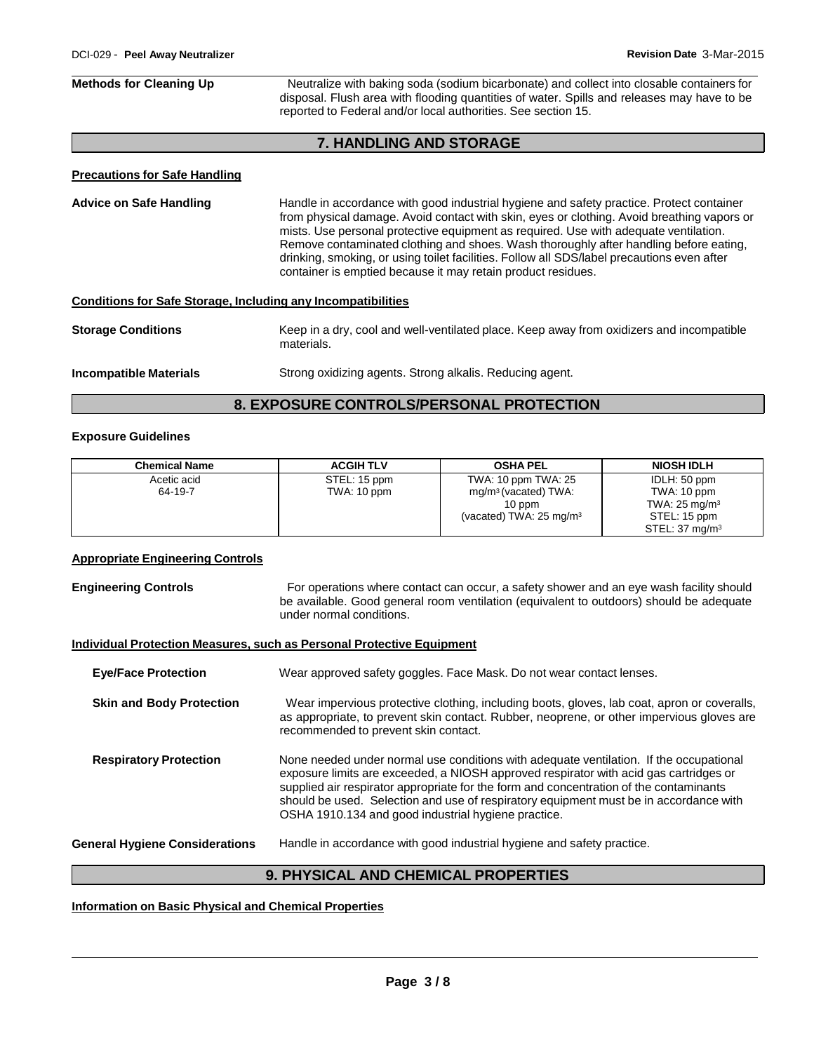## **Methods for Cleaning Up** Neutralize with baking soda (sodium bicarbonate) and collect into closable containers for disposal. Flush area with flooding quantities of water. Spills and releases may have to be reported to Federal and/or local authorities. See section 15. **7. HANDLING AND STORAGE Precautions for Safe Handling Advice on Safe Handling** Handle in accordance with good industrial hygiene and safety practice. Protect container from physical damage. Avoid contact with skin, eyes or clothing. Avoid breathing vapors or mists. Use personal protective equipment as required. Use with adequate ventilation. Remove contaminated clothing and shoes. Wash thoroughly after handling before eating, drinking, smoking, or using toilet facilities. Follow all SDS/label precautions even after container is emptied because it may retain product residues. **Conditions for Safe Storage, Including any Incompatibilities Storage Conditions** Keep in a dry, cool and well-ventilated place. Keep away from oxidizers and incompatible materials. **Incompatible Materials** Strong oxidizing agents. Strong alkalis. Reducing agent.

### **8. EXPOSURE CONTROLS/PERSONAL PROTECTION**

#### **Exposure Guidelines**

| <b>Chemical Name</b> | <b>ACGIH TLV</b> | <b>OSHA PEL</b>                    | <b>NIOSH IDLH</b>         |
|----------------------|------------------|------------------------------------|---------------------------|
| Acetic acid          | STEL: 15 ppm     | TWA: 10 ppm TWA: 25                | IDLH: 50 ppm              |
| 64-19-7              | TWA: 10 ppm      | mg/m <sup>3</sup> (vacated) TWA:   | TWA: 10 ppm               |
|                      |                  | $10$ ppm                           | TWA: $25 \text{ mg/m}^3$  |
|                      |                  | (vacated) TWA: $25 \text{ mg/m}^3$ | STEL: 15 ppm              |
|                      |                  |                                    | STEL: $37 \text{ mg/m}^3$ |

### **Appropriate Engineering Controls**

**Engineering Controls For operations where contact can occur, a safety shower and an eye wash facility should** be available. Good general room ventilation (equivalent to outdoors) should be adequate under normal conditions.

#### **Individual Protection Measures, such as Personal Protective Equipment**

| <b>Eye/Face Protection</b>            | Wear approved safety goggles. Face Mask. Do not wear contact lenses.                                                                                                                                                                                                                                                                                                                                                      |
|---------------------------------------|---------------------------------------------------------------------------------------------------------------------------------------------------------------------------------------------------------------------------------------------------------------------------------------------------------------------------------------------------------------------------------------------------------------------------|
| <b>Skin and Body Protection</b>       | Wear impervious protective clothing, including boots, gloves, lab coat, apron or coveralls,<br>as appropriate, to prevent skin contact. Rubber, neoprene, or other impervious gloves are<br>recommended to prevent skin contact.                                                                                                                                                                                          |
| <b>Respiratory Protection</b>         | None needed under normal use conditions with adequate ventilation. If the occupational<br>exposure limits are exceeded, a NIOSH approved respirator with acid gas cartridges or<br>supplied air respirator appropriate for the form and concentration of the contaminants<br>should be used. Selection and use of respiratory equipment must be in accordance with<br>OSHA 1910.134 and good industrial hygiene practice. |
| <b>General Hygiene Considerations</b> | Handle in accordance with good industrial hygiene and safety practice.                                                                                                                                                                                                                                                                                                                                                    |

### **9. PHYSICAL AND CHEMICAL PROPERTIES**

### **Information on Basic Physical and Chemical Properties**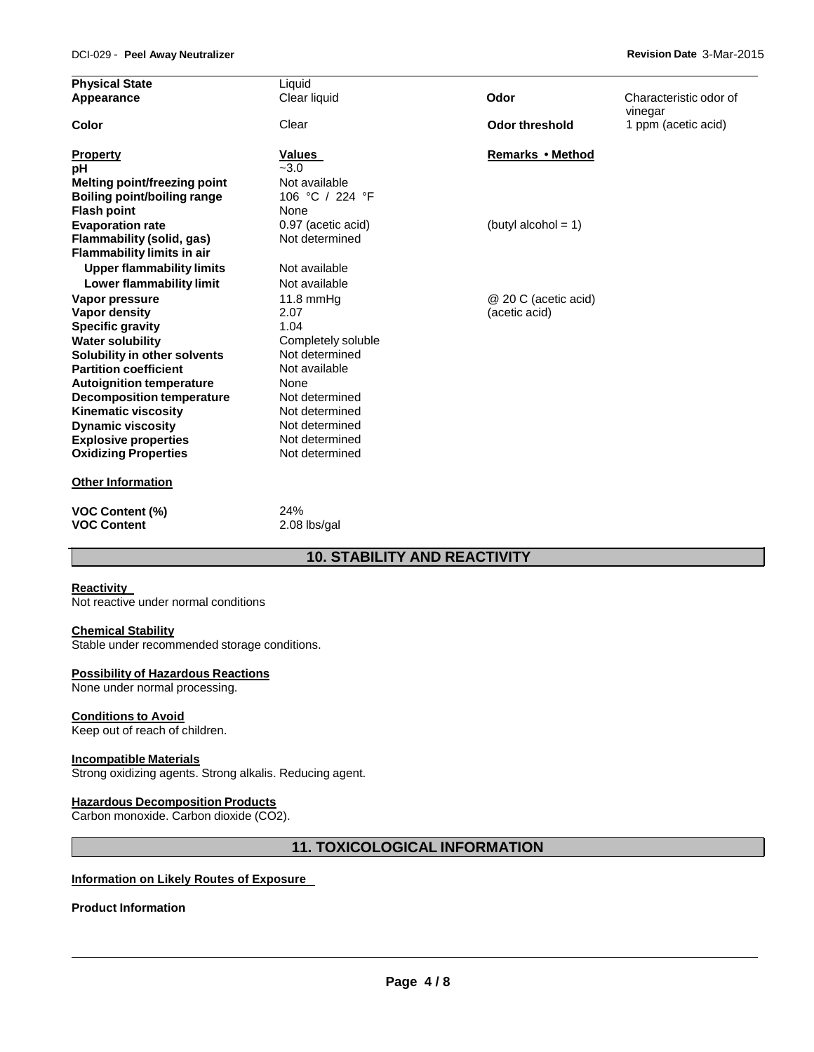| <b>Physical State</b>               | Liquid             |                        |                                   |
|-------------------------------------|--------------------|------------------------|-----------------------------------|
| Appearance                          | Clear liquid       | Odor                   | Characteristic odor of<br>vinegar |
| Color                               | Clear              | <b>Odor threshold</b>  | 1 ppm (acetic acid)               |
| <b>Property</b>                     | Values             | Remarks • Method       |                                   |
| pH                                  | $-3.0$             |                        |                                   |
| <b>Melting point/freezing point</b> | Not available      |                        |                                   |
| Boiling point/boiling range         | 106 °C / 224 °F    |                        |                                   |
| <b>Flash point</b>                  | None               |                        |                                   |
| <b>Evaporation rate</b>             | 0.97 (acetic acid) | (butyl alcohol = $1$ ) |                                   |
| Flammability (solid, gas)           | Not determined     |                        |                                   |
| <b>Flammability limits in air</b>   |                    |                        |                                   |
| <b>Upper flammability limits</b>    | Not available      |                        |                                   |
| Lower flammability limit            | Not available      |                        |                                   |
| Vapor pressure                      | $11.8$ mmHq        | @ 20 C (acetic acid)   |                                   |
| Vapor density                       | 2.07               | (acetic acid)          |                                   |
| <b>Specific gravity</b>             | 1.04               |                        |                                   |
| <b>Water solubility</b>             | Completely soluble |                        |                                   |
| Solubility in other solvents        | Not determined     |                        |                                   |
| <b>Partition coefficient</b>        | Not available      |                        |                                   |
| <b>Autoignition temperature</b>     | None               |                        |                                   |
| <b>Decomposition temperature</b>    | Not determined     |                        |                                   |
| <b>Kinematic viscosity</b>          | Not determined     |                        |                                   |
| <b>Dynamic viscosity</b>            | Not determined     |                        |                                   |
| <b>Explosive properties</b>         | Not determined     |                        |                                   |
| <b>Oxidizing Properties</b>         | Not determined     |                        |                                   |
| <b>Other Information</b>            |                    |                        |                                   |
| <b>VOC Content (%)</b>              | 24%                |                        |                                   |
| <b>VOC Content</b>                  | 2.08 lbs/gal       |                        |                                   |

### **10. STABILITY AND REACTIVITY**

### **Reactivity**

Not reactive under normal conditions

#### **Chemical Stability**

Stable under recommended storage conditions.

### **Possibility of Hazardous Reactions**

None under normal processing.

### **Conditions to Avoid**

Keep out of reach of children.

### **Incompatible Materials**

Strong oxidizing agents. Strong alkalis. Reducing agent.

### **Hazardous Decomposition Products**

Carbon monoxide. Carbon dioxide (CO2).

### **11. TOXICOLOGICAL INFORMATION**

### **Information on Likely Routes of Exposure**

**Product Information**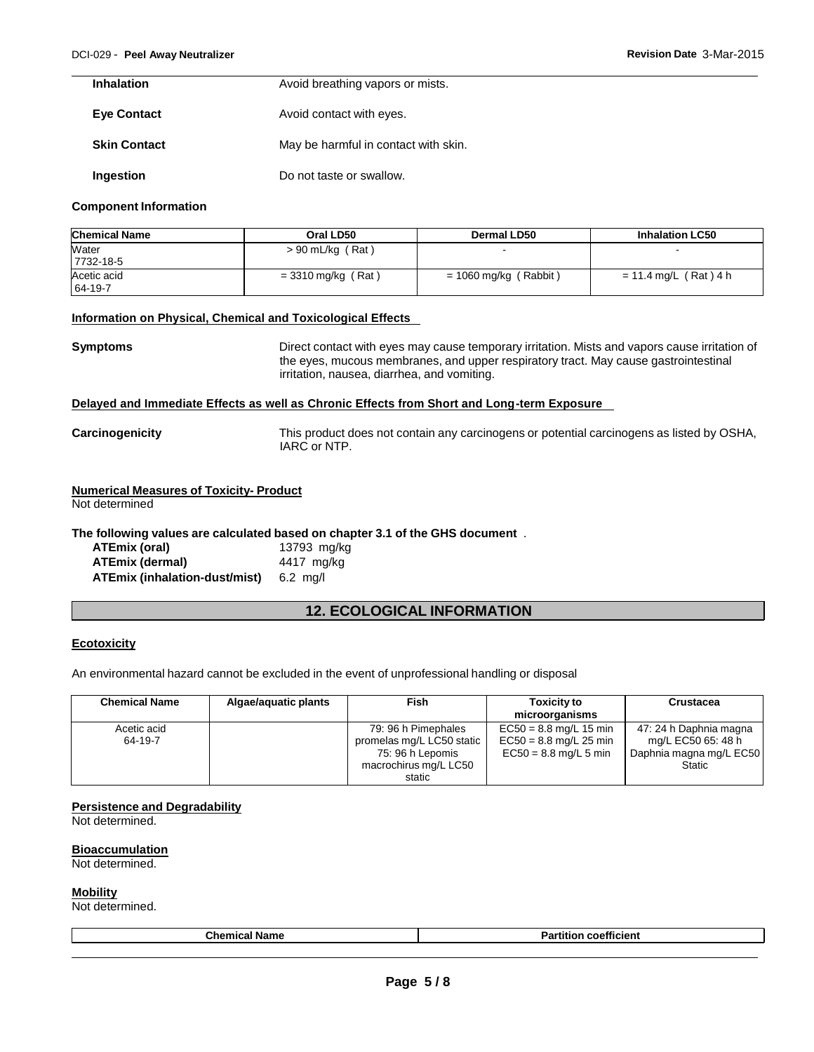| <b>Inhalation</b>   | Avoid breathing vapors or mists.     |
|---------------------|--------------------------------------|
| <b>Eye Contact</b>  | Avoid contact with eyes.             |
| <b>Skin Contact</b> | May be harmful in contact with skin. |
| Ingestion           | Do not taste or swallow.             |

#### **Component Information**

| <b>Chemical Name</b>   | Oral LD50            | <b>Dermal LD50</b>      | <b>Inhalation LC50</b> |
|------------------------|----------------------|-------------------------|------------------------|
| Water<br>7732-18-5     | $> 90$ mL/kg (Rat)   |                         | $\sim$                 |
| Acetic acid<br>64-19-7 | $=$ 3310 mg/kg (Rat) | $= 1060$ mg/kg (Rabbit) | = 11.4 mg/L (Rat)4 h   |

#### **Information on Physical, Chemical and Toxicological Effects**

**Symptoms** Direct contact with eyes may cause temporary irritation. Mists and vapors cause irritation of the eyes, mucous membranes, and upper respiratory tract. May cause gastrointestinal irritation, nausea, diarrhea, and vomiting.

#### **Delayed and Immediate Effects as well as Chronic Effects from Short and Long-term Exposure**

### **Numerical Measures of Toxicity- Product**

Not determined

### **The following values are calculated based on chapter 3.1 of the GHS document** .

| ATEmix (oral)                 | 13793 mg/kg        |
|-------------------------------|--------------------|
| <b>ATEmix (dermal)</b>        | 4417 mg/kg         |
| ATEmix (inhalation-dust/mist) | $6.2 \text{ ma/l}$ |

### **12. ECOLOGICAL INFORMATION**

### **Ecotoxicity**

An environmental hazard cannot be excluded in the event of unprofessional handling or disposal

| <b>Chemical Name</b>   | Algae/aquatic plants | Fish                                                                                                    | <b>Toxicity to</b><br>microorganisms                                            | Crustacea                                                                                |
|------------------------|----------------------|---------------------------------------------------------------------------------------------------------|---------------------------------------------------------------------------------|------------------------------------------------------------------------------------------|
| Acetic acid<br>64-19-7 |                      | 79: 96 h Pimephales<br>promelas mg/L LC50 static<br>75: 96 h Lepomis<br>macrochirus mg/L LC50<br>static | $EC50 = 8.8$ mg/L 15 min<br>$EC50 = 8.8$ mg/L 25 min<br>$EC50 = 8.8$ mg/L 5 min | 47: 24 h Daphnia magna<br>mg/L EC50 65: 48 h<br>Daphnia magna mg/L EC50<br><b>Static</b> |

#### **Persistence and Degradability**

Not determined.

### **Bioaccumulation**

Not determined.

#### **Mobility**

Not determined.

| $ -$<br>ame<br> | ---<br>п.<br>coefficient |
|-----------------|--------------------------|
|                 |                          |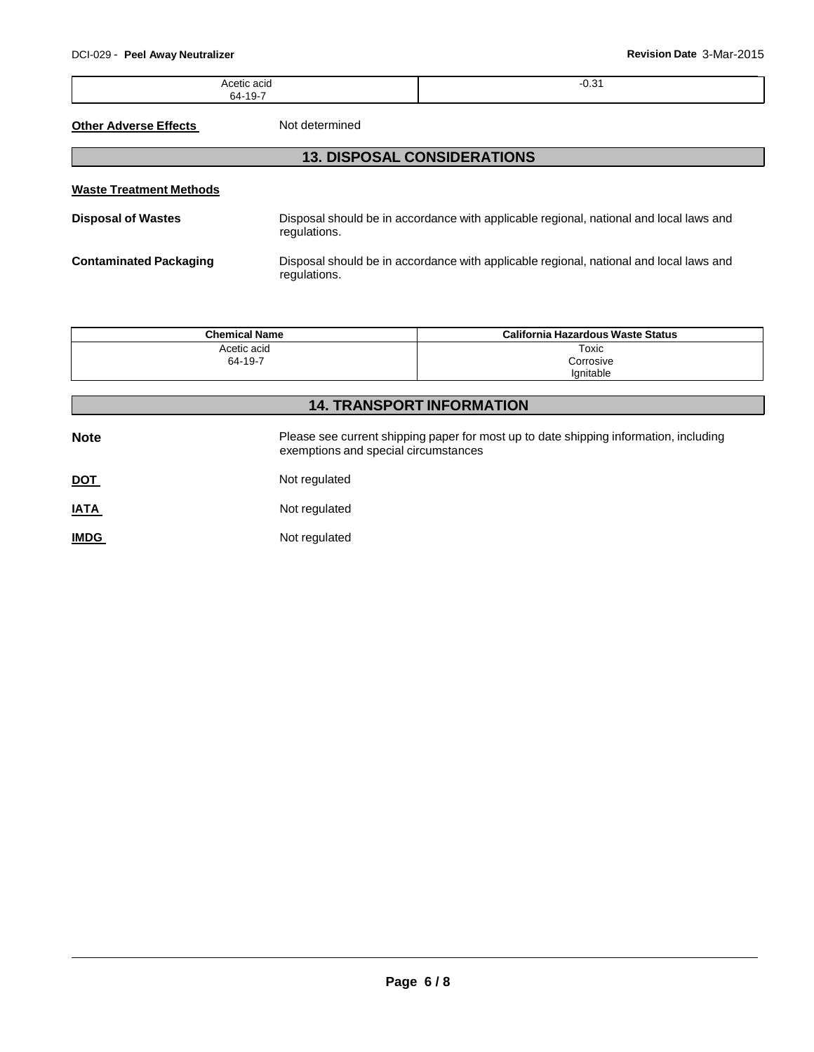-0.31

Acetic acid 64-19-7

**Other Adverse Effects** Not determined

## **13. DISPOSAL CONSIDERATIONS**

| <b>Waste Treatment Methods</b> |                                                                                                        |  |
|--------------------------------|--------------------------------------------------------------------------------------------------------|--|
| <b>Disposal of Wastes</b>      | Disposal should be in accordance with applicable regional, national and local laws and<br>regulations. |  |
| <b>Contaminated Packaging</b>  | Disposal should be in accordance with applicable regional, national and local laws and<br>regulations. |  |

| <b>Chemical Name</b>   | California Hazardous Waste Status |
|------------------------|-----------------------------------|
| Acetic acid<br>64-19-7 | Toxic                             |
|                        | Corrosive<br>lanitable            |

| <b>14. TRANSPORT INFORMATION</b> |                                                                                                                               |  |  |  |
|----------------------------------|-------------------------------------------------------------------------------------------------------------------------------|--|--|--|
| <b>Note</b>                      | Please see current shipping paper for most up to date shipping information, including<br>exemptions and special circumstances |  |  |  |
| <u>DOT</u>                       | Not regulated                                                                                                                 |  |  |  |
| <b>IATA</b>                      | Not regulated                                                                                                                 |  |  |  |
| <b>IMDG</b>                      | Not regulated                                                                                                                 |  |  |  |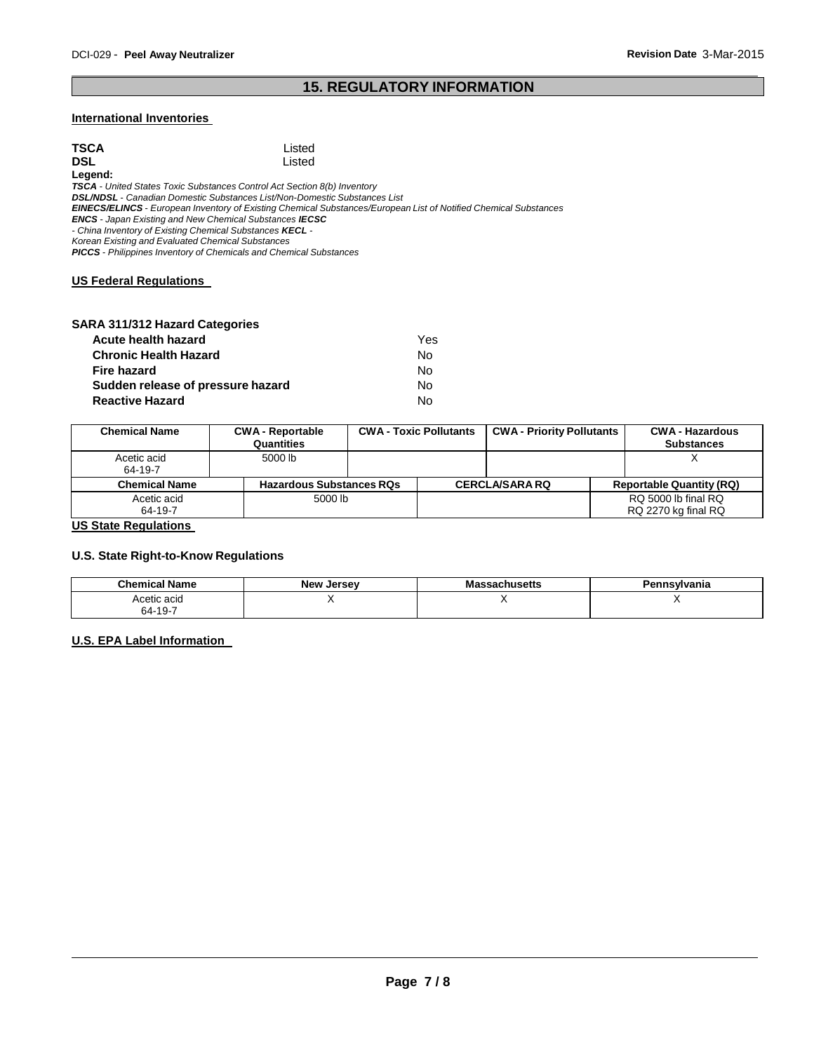## **15. REGULATORY INFORMATION**

### **International Inventories**

| TSCA                                                                  | Listed                                                                                                                  |  |
|-----------------------------------------------------------------------|-------------------------------------------------------------------------------------------------------------------------|--|
| DSL                                                                   | Listed                                                                                                                  |  |
| Legend:                                                               |                                                                                                                         |  |
|                                                                       | <b>TSCA</b> - United States Toxic Substances Control Act Section 8(b) Inventory                                         |  |
|                                                                       | <b>DSL/NDSL</b> - Canadian Domestic Substances List/Non-Domestic Substances List                                        |  |
|                                                                       | <b>EINECS/ELINCS</b> - European Inventory of Existing Chemical Substances/European List of Notified Chemical Substances |  |
| <b>ENCS</b> - Japan Existing and New Chemical Substances <b>IECSC</b> |                                                                                                                         |  |
| - China Inventory of Existing Chemical Substances KECL -              |                                                                                                                         |  |
| Korean Existing and Evaluated Chemical Substances                     |                                                                                                                         |  |
|                                                                       | <b>PICCS</b> - Philippines Inventory of Chemicals and Chemical Substances                                               |  |
|                                                                       |                                                                                                                         |  |
| <b>US Federal Requlations</b>                                         |                                                                                                                         |  |

### **SARA 311/312 Hazard Categories**

| Acute health hazard               | Yes |
|-----------------------------------|-----|
| <b>Chronic Health Hazard</b>      | No. |
| <b>Fire hazard</b>                | No. |
| Sudden release of pressure hazard | No. |
| <b>Reactive Hazard</b>            | N٥  |

| <b>Chemical Name</b>   | <b>CWA - Reportable</b><br>Quantities | <b>CWA - Toxic Pollutants</b> | <b>CWA - Priority Pollutants</b> | <b>CWA - Hazardous</b><br><b>Substances</b> |
|------------------------|---------------------------------------|-------------------------------|----------------------------------|---------------------------------------------|
| Acetic acid<br>64-19-7 | 5000 lb                               |                               |                                  |                                             |
| <b>Chemical Name</b>   | <b>Hazardous Substances RQs</b>       |                               | <b>CERCLA/SARA RQ</b>            | <b>Reportable Quantity (RQ)</b>             |
| Acetic acid<br>64-19-7 | 5000 lb                               |                               |                                  | RQ 5000 lb final RQ<br>RQ 2270 kg final RQ  |

**US State Regulations** 

### **U.S. State Right-to-Know Regulations**

| <b>Chemical Name</b>   | <b>New Jersey</b> | Massachusetts | Pennsvlvania |
|------------------------|-------------------|---------------|--------------|
| Acetic acid<br>64-19-7 | . .               |               |              |
|                        |                   |               |              |

### **U.S. EPA Label Information**